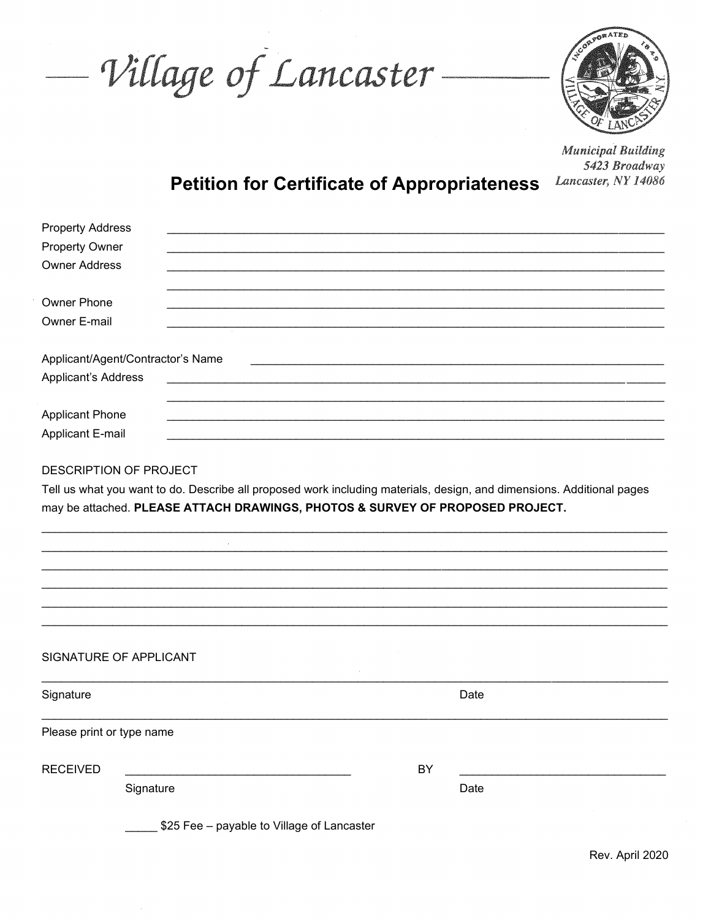Village of Lancaster-



**Municipal Building** 5423 Broadway Lancaster, NY 14086

## **Petition for Certificate of Appropriateness**

| <b>Property Address</b><br><b>Property Owner</b><br><b>Owner Address</b>                                                                                                                                                         |                                            |                                                                                                                  |      |  |  |
|----------------------------------------------------------------------------------------------------------------------------------------------------------------------------------------------------------------------------------|--------------------------------------------|------------------------------------------------------------------------------------------------------------------|------|--|--|
| Owner Phone<br>Owner E-mail                                                                                                                                                                                                      |                                            |                                                                                                                  |      |  |  |
| Applicant/Agent/Contractor's Name<br>Applicant's Address                                                                                                                                                                         |                                            | and the control of the control of the control of the control of the control of the control of the control of the |      |  |  |
| <b>Applicant Phone</b><br><b>Applicant E-mail</b>                                                                                                                                                                                |                                            |                                                                                                                  |      |  |  |
| DESCRIPTION OF PROJECT<br>Tell us what you want to do. Describe all proposed work including materials, design, and dimensions. Additional pages<br>may be attached. PLEASE ATTACH DRAWINGS, PHOTOS & SURVEY OF PROPOSED PROJECT. |                                            |                                                                                                                  |      |  |  |
|                                                                                                                                                                                                                                  |                                            |                                                                                                                  |      |  |  |
|                                                                                                                                                                                                                                  |                                            |                                                                                                                  |      |  |  |
|                                                                                                                                                                                                                                  |                                            |                                                                                                                  |      |  |  |
|                                                                                                                                                                                                                                  |                                            |                                                                                                                  |      |  |  |
| SIGNATURE OF APPLICANT                                                                                                                                                                                                           |                                            |                                                                                                                  |      |  |  |
| Signature                                                                                                                                                                                                                        |                                            |                                                                                                                  | Date |  |  |
| Please print or type name                                                                                                                                                                                                        |                                            |                                                                                                                  |      |  |  |
| <b>RECEIVED</b>                                                                                                                                                                                                                  |                                            | BY                                                                                                               |      |  |  |
| Signature                                                                                                                                                                                                                        |                                            |                                                                                                                  | Date |  |  |
|                                                                                                                                                                                                                                  | \$25 Fee - payable to Village of Lancaster |                                                                                                                  |      |  |  |